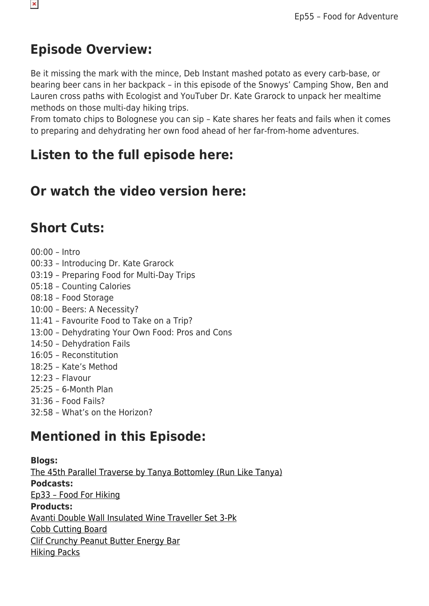#### **Episode Overview:**

Be it missing the mark with the mince, Deb Instant mashed potato as every carb-base, or bearing beer cans in her backpack – in this episode of the Snowys' Camping Show, Ben and Lauren cross paths with Ecologist and YouTuber Dr. Kate Grarock to unpack her mealtime methods on those multi-day hiking trips.

From tomato chips to Bolognese you can sip – Kate shares her feats and fails when it comes to preparing and dehydrating her own food ahead of her far-from-home adventures.

#### **Listen to the full episode here:**

### **Or watch the video version here:**

### **Short Cuts:**

00:00 – Intro 00:33 – Introducing Dr. Kate Grarock 03:19 – Preparing Food for Multi-Day Trips 05:18 – Counting Calories 08:18 – Food Storage 10:00 – Beers: A Necessity? 11:41 – Favourite Food to Take on a Trip? 13:00 – Dehydrating Your Own Food: Pros and Cons 14:50 – Dehydration Fails 16:05 – Reconstitution 18:25 – Kate's Method 12:23 – Flavour 25:25 – 6-Month Plan 31:36 – Food Fails? 32:58 – What's on the Horizon?

# **Mentioned in this Episode:**

**Blogs:** [The 45th Parallel Traverse by Tanya Bottomley \(Run Like Tanya\)](https://www.snowys.com.au/blog/45th-parallel-traverse/) **Podcasts:** [Ep33 – Food For Hiking](https://youtu.be/HTXGQatrUG0) **Products:** [Avanti Double Wall Insulated Wine Traveller Set 3-Pk](https://www.snowys.com.au/double-wall-insulated-wine-traveller-set-3pc?c=Rose+Gold) [Cobb Cutting Board](https://www.snowys.com.au/bamboo-cutting-board) [Clif Crunchy Peanut Butter Energy Bar](https://www.snowys.com.au/crunchy-peanut-butter-energy-bar) [Hiking Packs](https://www.snowys.com.au/search?w=hiking%20packs)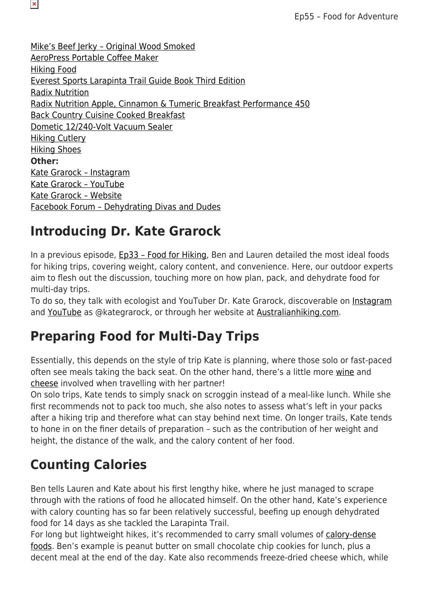[Mike's Beef Jerky – Original Wood Smoked](https://www.snowys.com.au/original-wood-smoked-90g) [AeroPress Portable Coffee Maker](https://www.snowys.com.au/aeropress-portable-coffee-maker) [Hiking Food](https://www.snowys.com.au/hiking-food) [Everest Sports Larapinta Trail Guide Book Third Edition](https://www.snowys.com.au/larapinta-trail-guide-book-third-edition) [Radix Nutrition](https://www.snowys.com.au/search?w=radix%20nutrition) [Radix Nutrition Apple, Cinnamon & Tumeric Breakfast Performance 450](https://www.snowys.com.au/apple-cinnamon-turmeric-breakfast-performance-450) [Back Country Cuisine Cooked Breakfast](https://www.snowys.com.au/cooked-breakfast) [Dometic 12/240-Volt Vacuum Sealer](https://www.snowys.com.au/dometic-12240v-vacuum-sealer) [Hiking Cutlery](https://www.snowys.com.au/search?w=hiking%20cutlery) [Hiking Shoes](https://www.snowys.com.au/search?w=hiking%20shoes) **Other:** [Kate Grarock – Instagram](https://www.instagram.com/kategrarock/) [Kate Grarock – YouTube](https://www.youtube.com/c/kategrarock) [Kate Grarock – Website](http://www.australianhiking.com/) [Facebook Forum – Dehydrating Divas and Dudes](https://www.facebook.com/groups/937950979564072)

#### **Introducing Dr. Kate Grarock**

 $\pmb{\times}$ 

In a previous episode, [Ep33 – Food for Hiking,](https://youtu.be/HTXGQatrUG0) Ben and Lauren detailed the most ideal foods for hiking trips, covering weight, calory content, and convenience. Here, our outdoor experts aim to flesh out the discussion, touching more on how plan, pack, and dehydrate food for multi-day trips.

To do so, they talk with ecologist and YouTuber Dr. Kate Grarock, discoverable on [Instagram](https://www.instagram.com/kategrarock/) and [YouTube](https://www.youtube.com/c/kategrarock) as @kategrarock, or through her website at [Australianhiking.com](http://www.australianhiking.com/).

### **Preparing Food for Multi-Day Trips**

Essentially, this depends on the style of trip Kate is planning, where those solo or fast-paced often see meals taking the back seat. On the other hand, there's a little more [wine](https://www.snowys.com.au/double-wall-insulated-wine-traveller-set-3pc?c=Rose+Gold) and [cheese](https://www.snowys.com.au/bamboo-cutting-board) involved when travelling with her partner!

On solo trips, Kate tends to simply snack on scroggin instead of a meal-like lunch. While she first recommends not to pack too much, she also notes to assess what's left in your packs after a hiking trip and therefore what can stay behind next time. On longer trails, Kate tends to hone in on the finer details of preparation – such as the contribution of her weight and height, the distance of the walk, and the calory content of her food.

# **Counting Calories**

Ben tells Lauren and Kate about his first lengthy hike, where he just managed to scrape through with the rations of food he allocated himself. On the other hand, Kate's experience with calory counting has so far been relatively successful, beefing up enough dehydrated food for 14 days as she tackled the Larapinta Trail.

For long but lightweight hikes, it's recommended to carry small volumes of [calory-dense](https://www.snowys.com.au/crunchy-peanut-butter-energy-bar) [foods.](https://www.snowys.com.au/crunchy-peanut-butter-energy-bar) Ben's example is peanut butter on small chocolate chip cookies for lunch, plus a decent meal at the end of the day. Kate also recommends freeze-dried cheese which, while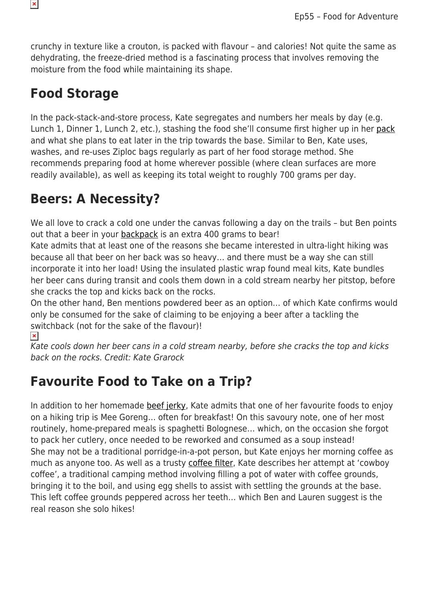crunchy in texture like a crouton, is packed with flavour – and calories! Not quite the same as dehydrating, the freeze-dried method is a fascinating process that involves removing the moisture from the food while maintaining its shape.

#### **Food Storage**

In the pack-stack-and-store process, Kate segregates and numbers her meals by day (e.g. Lunch 1, Dinner 1, Lunch 2, etc.), stashing the food she'll consume first higher up in her [pack](https://www.snowys.com.au/search?w=hiking%20packs) and what she plans to eat later in the trip towards the base. Similar to Ben, Kate uses, washes, and re-uses Ziploc bags regularly as part of her food storage method. She recommends preparing food at home wherever possible (where clean surfaces are more readily available), as well as keeping its total weight to roughly 700 grams per day.

### **Beers: A Necessity?**

We all love to crack a cold one under the canvas following a day on the trails - but Ben points out that a beer in your [backpack](https://www.snowys.com.au/search?w=hiking%20packs) is an extra 400 grams to bear!

Kate admits that at least one of the reasons she became interested in ultra-light hiking was because all that beer on her back was so heavy… and there must be a way she can still incorporate it into her load! Using the insulated plastic wrap found meal kits, Kate bundles her beer cans during transit and cools them down in a cold stream nearby her pitstop, before she cracks the top and kicks back on the rocks.

On the other hand, Ben mentions powdered beer as an option… of which Kate confirms would only be consumed for the sake of claiming to be enjoying a beer after a tackling the switchback (not for the sake of the flavour)!

 $\pmb{\times}$ 

Kate cools down her beer cans in a cold stream nearby, before she cracks the top and kicks back on the rocks. Credit: Kate Grarock

# **Favourite Food to Take on a Trip?**

In addition to her homemade [beef jerky,](https://www.snowys.com.au/original-wood-smoked-90g) Kate admits that one of her favourite foods to enjoy on a hiking trip is Mee Goreng… often for breakfast! On this savoury note, one of her most routinely, home-prepared meals is spaghetti Bolognese… which, on the occasion she forgot to pack her cutlery, once needed to be reworked and consumed as a soup instead! She may not be a traditional porridge-in-a-pot person, but Kate enjoys her morning coffee as much as anyone too. As well as a trusty [coffee filter,](https://www.snowys.com.au/aeropress-portable-coffee-maker) Kate describes her attempt at 'cowboy coffee', a traditional camping method involving filling a pot of water with coffee grounds, bringing it to the boil, and using egg shells to assist with settling the grounds at the base. This left coffee grounds peppered across her teeth… which Ben and Lauren suggest is the real reason she solo hikes!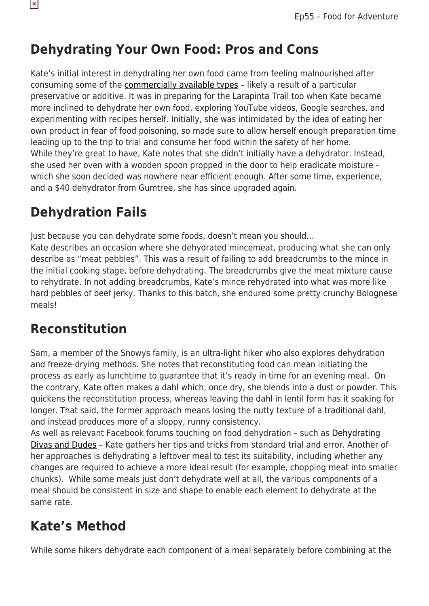

# **Dehydrating Your Own Food: Pros and Cons**

Kate's initial interest in dehydrating her own food came from feeling malnourished after consuming some of the [commercially available types](https://www.snowys.com.au/hiking-food) – likely a result of a particular preservative or additive. It was in preparing for the Larapinta Trail too when Kate became more inclined to dehydrate her own food, exploring YouTube videos, Google searches, and experimenting with recipes herself. Initially, she was intimidated by the idea of eating her own product in fear of food poisoning, so made sure to allow herself enough preparation time leading up to the trip to trial and consume her food within the safety of her home. While they're great to have, Kate notes that she didn't initially have a dehydrator. Instead, she used her oven with a wooden spoon propped in the door to help eradicate moisture – which she soon decided was nowhere near efficient enough. After some time, experience, and a \$40 dehydrator from Gumtree, she has since upgraded again.

# **Dehydration Fails**

Just because you can dehydrate some foods, doesn't mean you should…

Kate describes an occasion where she dehydrated mincemeat, producing what she can only describe as "meat pebbles". This was a result of failing to add breadcrumbs to the mince in the initial cooking stage, before dehydrating. The breadcrumbs give the meat mixture cause to rehydrate. In not adding breadcrumbs, Kate's mince rehydrated into what was more like hard pebbles of beef jerky. Thanks to this batch, she endured some pretty crunchy Bolognese meals!

# **Reconstitution**

Sam, a member of the Snowys family, is an ultra-light hiker who also explores dehydration and freeze-drying methods. She notes that reconstituting food can mean initiating the process as early as lunchtime to guarantee that it's ready in time for an evening meal. On the contrary, Kate often makes a dahl which, once dry, she blends into a dust or powder. This quickens the reconstitution process, whereas leaving the dahl in lentil form has it soaking for longer. That said, the former approach means losing the nutty texture of a traditional dahl, and instead produces more of a sloppy, runny consistency.

As well as relevant Facebook forums touching on food dehydration – such as [Dehydrating](https://www.facebook.com/groups/937950979564072) [Divas and Dudes](https://www.facebook.com/groups/937950979564072) – Kate gathers her tips and tricks from standard trial and error. Another of her approaches is dehydrating a leftover meal to test its suitability, including whether any changes are required to achieve a more ideal result (for example, chopping meat into smaller chunks). While some meals just don't dehydrate well at all, the various components of a meal should be consistent in size and shape to enable each element to dehydrate at the same rate.

# **Kate's Method**

While some hikers dehydrate each component of a meal separately before combining at the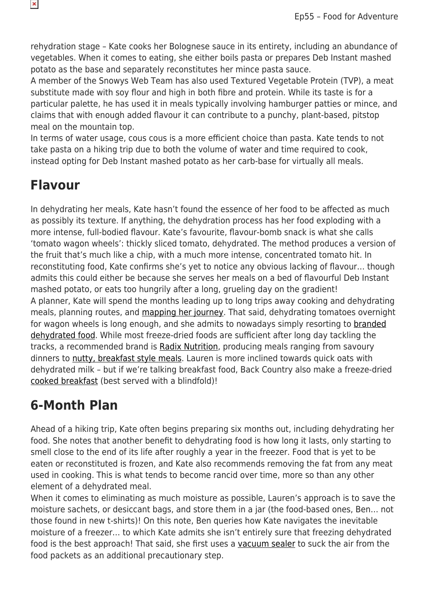rehydration stage – Kate cooks her Bolognese sauce in its entirety, including an abundance of vegetables. When it comes to eating, she either boils pasta or prepares Deb Instant mashed potato as the base and separately reconstitutes her mince pasta sauce.

A member of the Snowys Web Team has also used Textured Vegetable Protein (TVP), a meat substitute made with soy flour and high in both fibre and protein. While its taste is for a particular palette, he has used it in meals typically involving hamburger patties or mince, and claims that with enough added flavour it can contribute to a punchy, plant-based, pitstop meal on the mountain top.

In terms of water usage, cous cous is a more efficient choice than pasta. Kate tends to not take pasta on a hiking trip due to both the volume of water and time required to cook, instead opting for Deb Instant mashed potato as her carb-base for virtually all meals.

#### **Flavour**

In dehydrating her meals, Kate hasn't found the essence of her food to be affected as much as possibly its texture. If anything, the dehydration process has her food exploding with a more intense, full-bodied flavour. Kate's favourite, flavour-bomb snack is what she calls 'tomato wagon wheels': thickly sliced tomato, dehydrated. The method produces a version of the fruit that's much like a chip, with a much more intense, concentrated tomato hit. In reconstituting food, Kate confirms she's yet to notice any obvious lacking of flavour… though admits this could either be because she serves her meals on a bed of flavourful Deb Instant mashed potato, or eats too hungrily after a long, grueling day on the gradient! A planner, Kate will spend the months leading up to long trips away cooking and dehydrating meals, planning routes, and [mapping her journey](https://www.snowys.com.au/larapinta-trail-guide-book-third-edition). That said, dehydrating tomatoes overnight for wagon wheels is long enough, and she admits to nowadays simply resorting to [branded](https://www.snowys.com.au/hiking-food) [dehydrated food](https://www.snowys.com.au/hiking-food). While most freeze-dried foods are sufficient after long day tackling the tracks, a recommended brand is [Radix Nutrition,](https://www.snowys.com.au/search?w=radix%20nutrition) producing meals ranging from savoury dinners to [nutty, breakfast style meals](https://www.snowys.com.au/apple-cinnamon-turmeric-breakfast-performance-450). Lauren is more inclined towards quick oats with dehydrated milk – but if we're talking breakfast food, Back Country also make a freeze-dried [cooked breakfast](https://www.snowys.com.au/cooked-breakfast) (best served with a blindfold)!

# **6-Month Plan**

Ahead of a hiking trip, Kate often begins preparing six months out, including dehydrating her food. She notes that another benefit to dehydrating food is how long it lasts, only starting to smell close to the end of its life after roughly a year in the freezer. Food that is yet to be eaten or reconstituted is frozen, and Kate also recommends removing the fat from any meat used in cooking. This is what tends to become rancid over time, more so than any other element of a dehydrated meal.

When it comes to eliminating as much moisture as possible, Lauren's approach is to save the moisture sachets, or desiccant bags, and store them in a jar (the food-based ones, Ben… not those found in new t-shirts)! On this note, Ben queries how Kate navigates the inevitable moisture of a freezer… to which Kate admits she isn't entirely sure that freezing dehydrated food is the best approach! That said, she first uses a [vacuum sealer](https://www.snowys.com.au/dometic-12240v-vacuum-sealer) to suck the air from the food packets as an additional precautionary step.